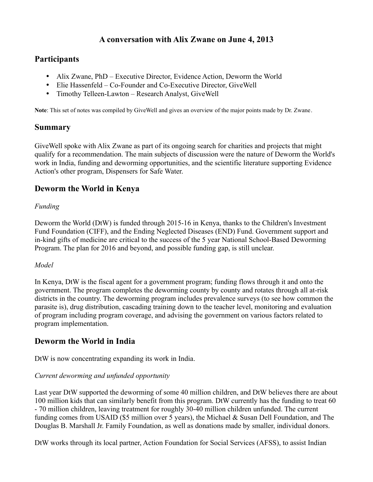# **A conversation with Alix Zwane on June 4, 2013**

# **Participants**

- Alix Zwane, PhD Executive Director, Evidence Action, Deworm the World
- Elie Hassenfeld Co-Founder and Co-Executive Director, GiveWell
- Timothy Telleen-Lawton Research Analyst, GiveWell

**Note**: This set of notes was compiled by GiveWell and gives an overview of the major points made by Dr. Zwane.

## **Summary**

GiveWell spoke with Alix Zwane as part of its ongoing search for charities and projects that might qualify for a recommendation. The main subjects of discussion were the nature of Deworm the World's work in India, funding and deworming opportunities, and the scientific literature supporting Evidence Action's other program, Dispensers for Safe Water.

# **Deworm the World in Kenya**

## *Funding*

Deworm the World (DtW) is funded through 2015-16 in Kenya, thanks to the Children's Investment Fund Foundation (CIFF), and the Ending Neglected Diseases (END) Fund. Government support and in-kind gifts of medicine are critical to the success of the 5 year National School-Based Deworming Program. The plan for 2016 and beyond, and possible funding gap, is still unclear.

### *Model*

In Kenya, DtW is the fiscal agent for a government program; funding flows through it and onto the government. The program completes the deworming county by county and rotates through all at-risk districts in the country. The deworming program includes prevalence surveys (to see how common the parasite is), drug distribution, cascading training down to the teacher level, monitoring and evaluation of program including program coverage, and advising the government on various factors related to program implementation.

## **Deworm the World in India**

DtW is now concentrating expanding its work in India.

## *Current deworming and unfunded opportunity*

Last year DtW supported the deworming of some 40 million children, and DtW believes there are about 100 million kids that can similarly benefit from this program. DtW currently has the funding to treat 60 - 70 million children, leaving treatment for roughly 30-40 million children unfunded. The current funding comes from USAID (\$5 million over 5 years), the Michael & Susan Dell Foundation, and The Douglas B. Marshall Jr. Family Foundation, as well as donations made by smaller, individual donors.

DtW works through its local partner, Action Foundation for Social Services (AFSS), to assist Indian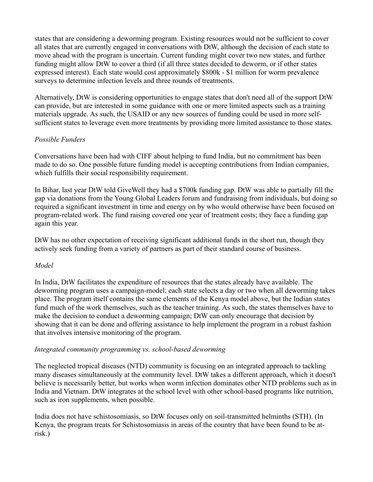states that are considering a deworming program. Existing resources would not be sufficient to cover all states that are currently engaged in conversations with DtW, although the decision of each state to move ahead with the program is uncertain. Current funding might cover two new states, and further funding might allow DtW to cover a third (if all three states decided to deworm, or if other states expressed interest). Each state would cost approximately \$800k - \$1 million for worm prevalence surveys to determine infection levels and three rounds of treatments.

Alternatively, DtW is considering opportunities to engage states that don't need all of the support DtW can provide, but are interested in some guidance with one or more limited aspects such as a training materials upgrade. As such, the USAID or any new sources of funding could be used in more selfsufficient states to leverage even more treatments by providing more limited assistance to those states.

## *Possible Funders*

Conversations have been had with CIFF about helping to fund India, but no commitment has been made to do so. One possible future funding model is accepting contributions from Indian companies, which fulfills their social responsibility requirement.

In Bihar, last year DtW told GiveWell they had a \$700k funding gap. DtW was able to partially fill the gap via donations from the Young Global Leaders forum and fundraising from individuals, but doing so required a significant investment in time and energy on by who would otherwise have been focused on program-related work. The fund raising covered one year of treatment costs; they face a funding gap again this year.

DtW has no other expectation of receiving significant additional funds in the short run, though they actively seek funding from a variety of partners as part of their standard course of business.

### *Model*

In India, DtW facilitates the expenditure of resources that the states already have available. The deworming program uses a campaign-model; each state selects a day or two when all deworming takes place. The program itself contains the same elements of the Kenya model above, but the Indian states fund much of the work themselves, such as the teacher training. As such, the states themselves have to make the decision to conduct a deworming campaign; DtW can only encourage that decision by showing that it can be done and offering assistance to help implement the program in a robust fashion that involves intensive monitoring of the program.

### *Integrated community programming vs. school-based deworming*

The neglected tropical diseases (NTD) community is focusing on an integrated approach to tackling many diseases simultaneously at the community level. DtW takes a different approach, which it doesn't believe is necessarily better, but works when worm infection dominates other NTD problems such as in India and Vietnam. DtW integrates at the school level with other school-based programs like nutrition, such as iron supplements, when possible.

India does not have schistosomiasis, so DtW focuses only on soil-transmitted helminths (STH). (In Kenya, the program treats for Schistosomiasis in areas of the country that have been found to be atrisk.)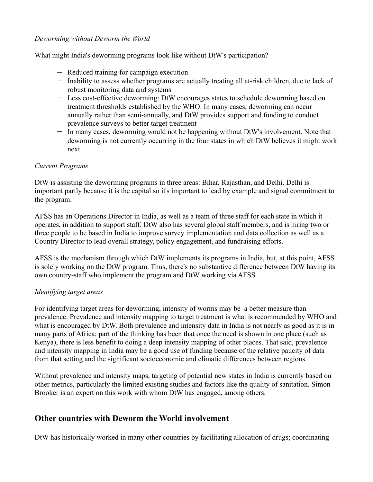#### *Deworming without Deworm the World*

What might India's deworming programs look like without DtW's participation?

- − Reduced training for campaign execution
- − Inability to assess whether programs are actually treating all at-risk children, due to lack of robust monitoring data and systems
- − Less cost-effective deworming: DtW encourages states to schedule deworming based on treatment thresholds established by the WHO. In many cases, deworming can occur annually rather than semi-annually, and DtW provides support and funding to conduct prevalence surveys to better target treatment
- − In many cases, deworming would not be happening without DtW's involvement. Note that deworming is not currently occurring in the four states in which DtW believes it might work next.

#### *Current Programs*

DtW is assisting the deworming programs in three areas: Bihar, Rajasthan, and Delhi. Delhi is important partly because it is the capital so it's important to lead by example and signal commitment to the program.

AFSS has an Operations Director in India, as well as a team of three staff for each state in which it operates, in addition to support staff. DtW also has several global staff members, and is hiring two or three people to be based in India to improve survey implementation and data collection as well as a Country Director to lead overall strategy, policy engagement, and fundraising efforts.

AFSS is the mechanism through which DtW implements its programs in India, but, at this point, AFSS is solely working on the DtW program. Thus, there's no substantive difference between DtW having its own country-staff who implement the program and DtW working via AFSS.

### *Identifying target areas*

For identifying target areas for deworming, intensity of worms may be a better measure than prevalence. Prevalence and intensity mapping to target treatment is what is recommended by WHO and what is encouraged by DtW. Both prevalence and intensity data in India is not nearly as good as it is in many parts of Africa; part of the thinking has been that once the need is shown in one place (such as Kenya), there is less benefit to doing a deep intensity mapping of other places. That said, prevalence and intensity mapping in India may be a good use of funding because of the relative paucity of data from that setting and the significant socioeconomic and climatic differences between regions.

Without prevalence and intensity maps, targeting of potential new states in India is currently based on other metrics, particularly the limited existing studies and factors like the quality of sanitation. Simon Brooker is an expert on this work with whom DtW has engaged, among others.

## **Other countries with Deworm the World involvement**

DtW has historically worked in many other countries by facilitating allocation of drugs; coordinating